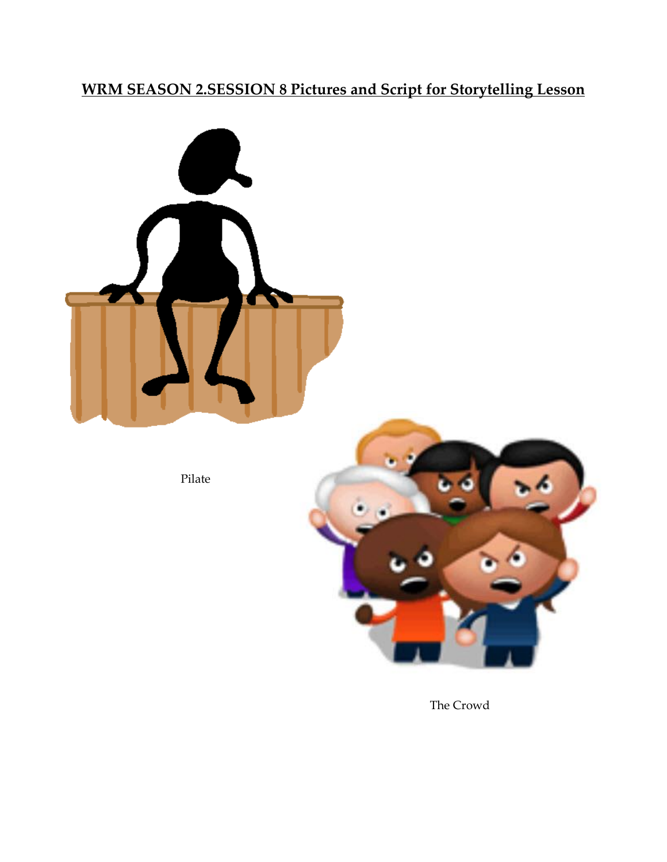**WRM SEASON 2.SESSION 8 Pictures and Script for Storytelling Lesson**



The Crowd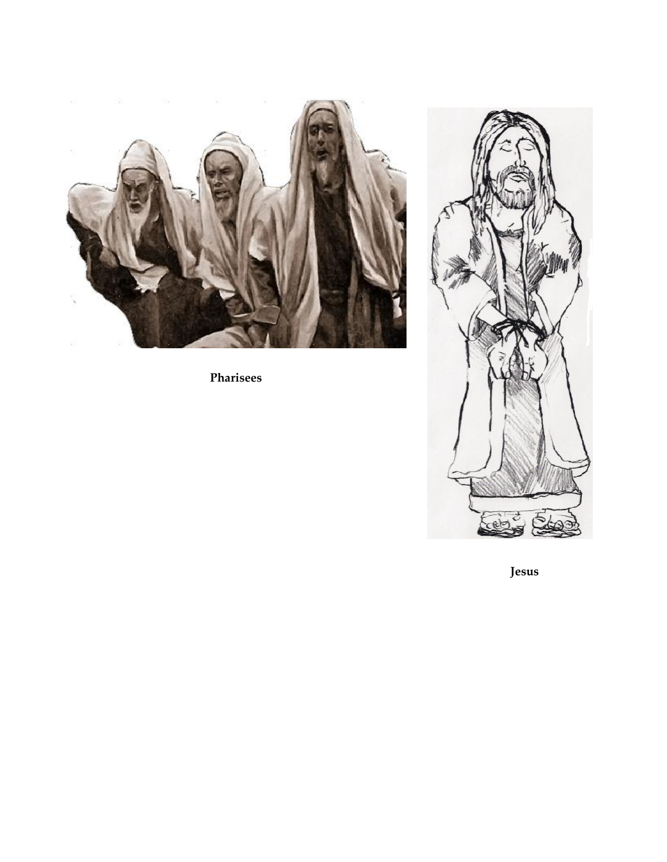

**Pharisees**



 **Jesus**